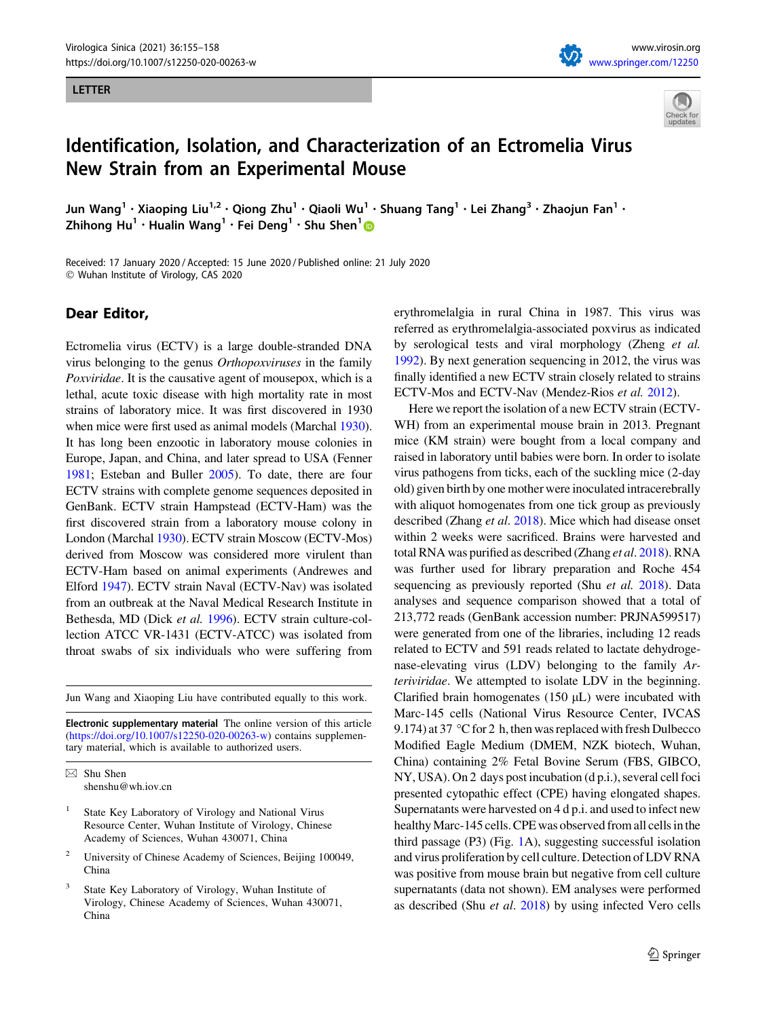## LETTER





## Identification, Isolation, and Characterization of an Ectromelia Virus New Strain from an Experimental Mouse

Jun Wang<sup>1</sup> • Xiaoping Liu<sup>1,2</sup> • Qiong Zhu<sup>1</sup> • Qiaoli Wu<sup>1</sup> • Shuang Tang<sup>1</sup> • Lei Zhang<sup>3</sup> • Zhaojun Fan<sup>1</sup> • Zhihong Hu<sup>1</sup> · Hualin Wang<sup>1</sup> · Fei Deng<sup>1</sup> · Shu Shen<sup>1</sup>

Received: 17 January 2020 / Accepted: 15 June 2020 / Published online: 21 July 2020 - Wuhan Institute of Virology, CAS 2020

## Dear Editor,

Ectromelia virus (ECTV) is a large double-stranded DNA virus belonging to the genus Orthopoxviruses in the family Poxviridae. It is the causative agent of mousepox, which is a lethal, acute toxic disease with high mortality rate in most strains of laboratory mice. It was first discovered in 1930 when mice were first used as animal models (Marchal [1930](#page-3-0)). It has long been enzootic in laboratory mouse colonies in Europe, Japan, and China, and later spread to USA (Fenner [1981;](#page-3-0) Esteban and Buller [2005\)](#page-3-0). To date, there are four ECTV strains with complete genome sequences deposited in GenBank. ECTV strain Hampstead (ECTV-Ham) was the first discovered strain from a laboratory mouse colony in London (Marchal [1930](#page-3-0)). ECTV strain Moscow (ECTV-Mos) derived from Moscow was considered more virulent than ECTV-Ham based on animal experiments (Andrewes and Elford [1947](#page-3-0)). ECTV strain Naval (ECTV-Nav) was isolated from an outbreak at the Naval Medical Research Institute in Bethesda, MD (Dick et al. [1996\)](#page-3-0). ECTV strain culture-collection ATCC VR-1431 (ECTV-ATCC) was isolated from throat swabs of six individuals who were suffering from

Jun Wang and Xiaoping Liu have contributed equally to this work.

Electronic supplementary material The online version of this article ([https://doi.org/10.1007/s12250-020-00263-w\)](https://doi.org/10.1007/s12250-020-00263-w) contains supplementary material, which is available to authorized users.

- State Key Laboratory of Virology and National Virus Resource Center, Wuhan Institute of Virology, Chinese Academy of Sciences, Wuhan 430071, China
- <sup>2</sup> University of Chinese Academy of Sciences, Beijing 100049, China
- State Key Laboratory of Virology, Wuhan Institute of Virology, Chinese Academy of Sciences, Wuhan 430071, China

erythromelalgia in rural China in 1987. This virus was referred as erythromelalgia-associated poxvirus as indicated by serological tests and viral morphology (Zheng et al. [1992\)](#page-3-0). By next generation sequencing in 2012, the virus was finally identified a new ECTV strain closely related to strains ECTV-Mos and ECTV-Nav (Mendez-Rios et al. [2012](#page-3-0)).

Here we report the isolation of a new ECTV strain (ECTV-WH) from an experimental mouse brain in 2013. Pregnant mice (KM strain) were bought from a local company and raised in laboratory until babies were born. In order to isolate virus pathogens from ticks, each of the suckling mice (2-day old) given birth by one mother were inoculated intracerebrally with aliquot homogenates from one tick group as previously described (Zhang et al. [2018\)](#page-3-0). Mice which had disease onset within 2 weeks were sacrificed. Brains were harvested and total RNA was purified as described (Zhang et al. [2018](#page-3-0)). RNA was further used for library preparation and Roche 454 sequencing as previously reported (Shu *et al.* [2018\)](#page-3-0). Data analyses and sequence comparison showed that a total of 213,772 reads (GenBank accession number: PRJNA599517) were generated from one of the libraries, including 12 reads related to ECTV and 591 reads related to lactate dehydrogenase-elevating virus (LDV) belonging to the family Arteriviridae. We attempted to isolate LDV in the beginning. Clarified brain homogenates  $(150 \mu L)$  were incubated with Marc-145 cells (National Virus Resource Center, IVCAS 9.174) at 37 °C for 2 h, then was replaced with fresh Dulbecco Modified Eagle Medium (DMEM, NZK biotech, Wuhan, China) containing 2% Fetal Bovine Serum (FBS, GIBCO, NY, USA). On 2 days post incubation (d p.i.), several cell foci presented cytopathic effect (CPE) having elongated shapes. Supernatants were harvested on 4 d p.i. and used to infect new healthy Marc-145 cells. CPE was observed from all cells inthe third passage (P3) (Fig. [1](#page-1-0)A), suggesting successful isolation and virus proliferation by cell culture. Detection of LDV RNA was positive from mouse brain but negative from cell culture supernatants (data not shown). EM analyses were performed as described (Shu et al. [2018\)](#page-3-0) by using infected Vero cells

 $\boxtimes$  Shu Shen shenshu@wh.iov.cn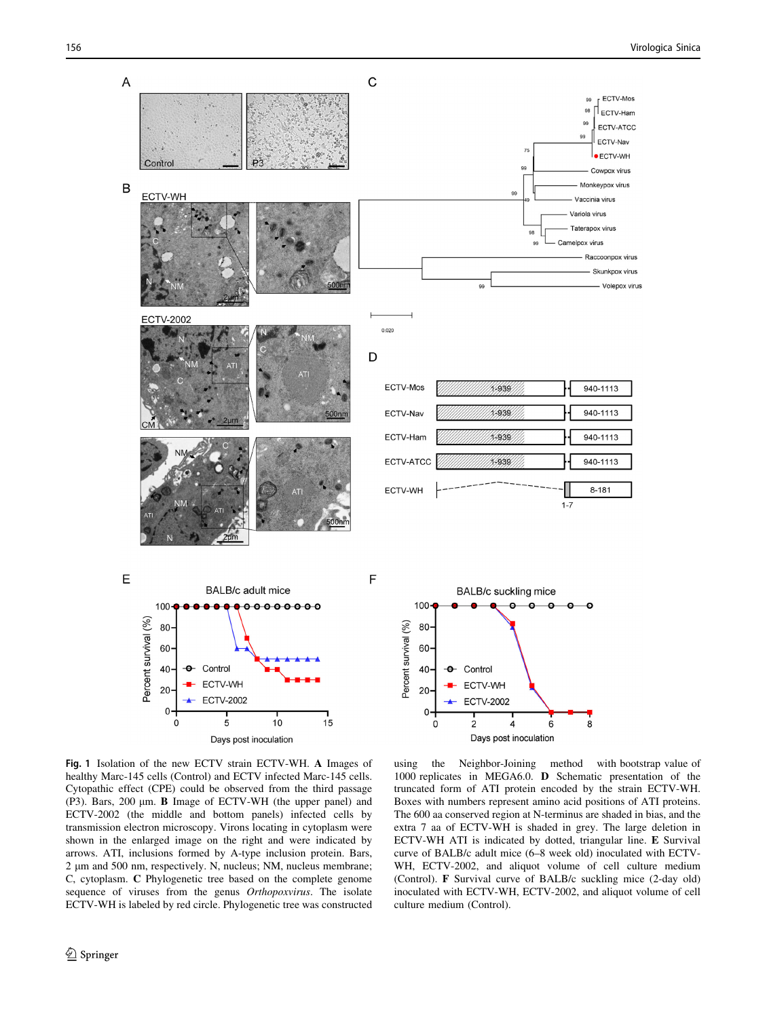<span id="page-1-0"></span>

Fig. 1 Isolation of the new ECTV strain ECTV-WH. A Images of healthy Marc-145 cells (Control) and ECTV infected Marc-145 cells. Cytopathic effect (CPE) could be observed from the third passage (P3). Bars, 200  $\mu$ m. **B** Image of ECTV-WH (the upper panel) and ECTV-2002 (the middle and bottom panels) infected cells by transmission electron microscopy. Virons locating in cytoplasm were shown in the enlarged image on the right and were indicated by arrows. ATI, inclusions formed by A-type inclusion protein. Bars, 2 µm and 500 nm, respectively. N, nucleus; NM, nucleus membrane; C, cytoplasm. C Phylogenetic tree based on the complete genome sequence of viruses from the genus Orthopoxvirus. The isolate ECTV-WH is labeled by red circle. Phylogenetic tree was constructed

using the Neighbor-Joining method with bootstrap value of 1000 replicates in MEGA6.0. D Schematic presentation of the truncated form of ATI protein encoded by the strain ECTV-WH. Boxes with numbers represent amino acid positions of ATI proteins. The 600 aa conserved region at N-terminus are shaded in bias, and the extra 7 aa of ECTV-WH is shaded in grey. The large deletion in ECTV-WH ATI is indicated by dotted, triangular line. E Survival curve of BALB/c adult mice (6–8 week old) inoculated with ECTV-WH, ECTV-2002, and aliquot volume of cell culture medium (Control). F Survival curve of BALB/c suckling mice (2-day old) inoculated with ECTV-WH, ECTV-2002, and aliquot volume of cell culture medium (Control).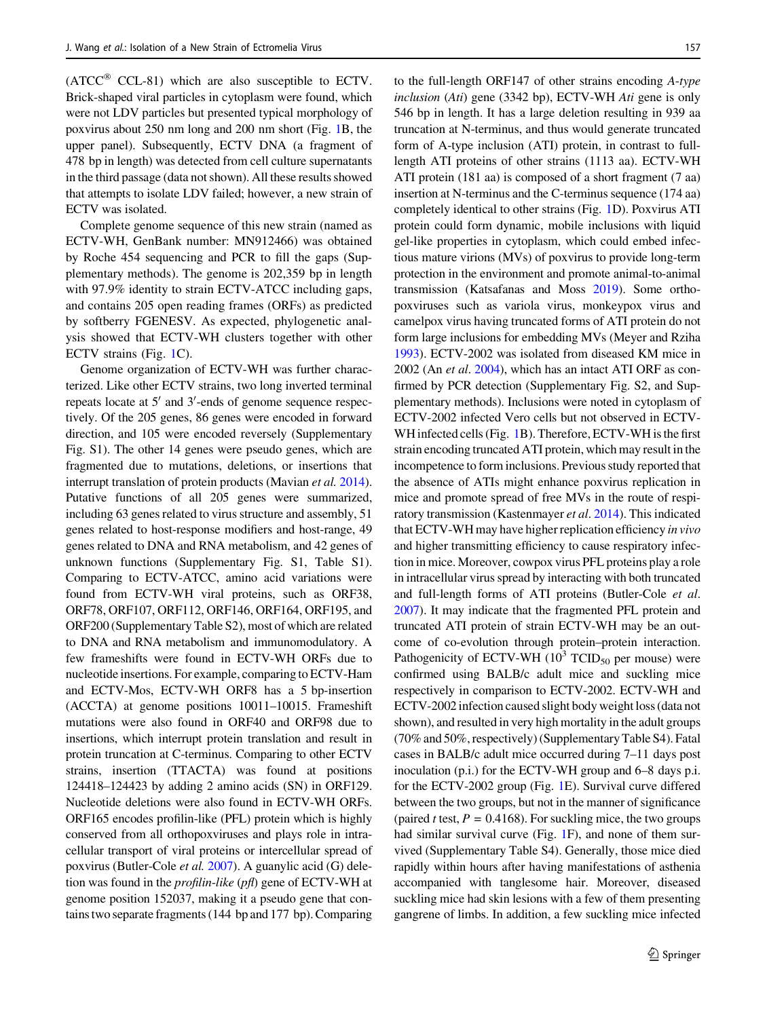$(ATCC^{\circledR}$  CCL-81) which are also susceptible to ECTV. Brick-shaped viral particles in cytoplasm were found, which were not LDV particles but presented typical morphology of poxvirus about 250 nm long and 200 nm short (Fig. [1](#page-1-0)B, the upper panel). Subsequently, ECTV DNA (a fragment of 478 bp in length) was detected from cell culture supernatants in the third passage (data not shown). All these results showed that attempts to isolate LDV failed; however, a new strain of ECTV was isolated.

Complete genome sequence of this new strain (named as ECTV-WH, GenBank number: MN912466) was obtained by Roche 454 sequencing and PCR to fill the gaps (Supplementary methods). The genome is 202,359 bp in length with 97.9% identity to strain ECTV-ATCC including gaps, and contains 205 open reading frames (ORFs) as predicted by softberry FGENESV. As expected, phylogenetic analysis showed that ECTV-WH clusters together with other ECTV strains (Fig. [1](#page-1-0)C).

Genome organization of ECTV-WH was further characterized. Like other ECTV strains, two long inverted terminal repeats locate at 5' and 3'-ends of genome sequence respectively. Of the 205 genes, 86 genes were encoded in forward direction, and 105 were encoded reversely (Supplementary Fig. S1). The other 14 genes were pseudo genes, which are fragmented due to mutations, deletions, or insertions that interrupt translation of protein products (Mavian et al. [2014](#page-3-0)). Putative functions of all 205 genes were summarized, including 63 genes related to virus structure and assembly, 51 genes related to host-response modifiers and host-range, 49 genes related to DNA and RNA metabolism, and 42 genes of unknown functions (Supplementary Fig. S1, Table S1). Comparing to ECTV-ATCC, amino acid variations were found from ECTV-WH viral proteins, such as ORF38, ORF78, ORF107, ORF112, ORF146, ORF164, ORF195, and ORF200 (Supplementary Table S2), most of which are related to DNA and RNA metabolism and immunomodulatory. A few frameshifts were found in ECTV-WH ORFs due to nucleotide insertions. For example, comparing to ECTV-Ham and ECTV-Mos, ECTV-WH ORF8 has a 5 bp-insertion (ACCTA) at genome positions 10011–10015. Frameshift mutations were also found in ORF40 and ORF98 due to insertions, which interrupt protein translation and result in protein truncation at C-terminus. Comparing to other ECTV strains, insertion (TTACTA) was found at positions 124418–124423 by adding 2 amino acids (SN) in ORF129. Nucleotide deletions were also found in ECTV-WH ORFs. ORF165 encodes profilin-like (PFL) protein which is highly conserved from all orthopoxviruses and plays role in intracellular transport of viral proteins or intercellular spread of poxvirus (Butler-Cole et al. [2007\)](#page-3-0). A guanylic acid (G) deletion was found in the profilin-like (pfl) gene of ECTV-WH at genome position 152037, making it a pseudo gene that contains two separate fragments (144 bp and 177 bp). Comparing to the full-length ORF147 of other strains encoding A-type inclusion (Ati) gene (3342 bp), ECTV-WH Ati gene is only 546 bp in length. It has a large deletion resulting in 939 aa truncation at N-terminus, and thus would generate truncated form of A-type inclusion (ATI) protein, in contrast to fulllength ATI proteins of other strains (1113 aa). ECTV-WH ATI protein (181 aa) is composed of a short fragment (7 aa) insertion at N-terminus and the C-terminus sequence (174 aa) completely identical to other strains (Fig. [1D](#page-1-0)). Poxvirus ATI protein could form dynamic, mobile inclusions with liquid gel-like properties in cytoplasm, which could embed infectious mature virions (MVs) of poxvirus to provide long-term protection in the environment and promote animal-to-animal transmission (Katsafanas and Moss [2019](#page-3-0)). Some orthopoxviruses such as variola virus, monkeypox virus and camelpox virus having truncated forms of ATI protein do not form large inclusions for embedding MVs (Meyer and Rziha [1993\)](#page-3-0). ECTV-2002 was isolated from diseased KM mice in 2002 (An et al. [2004](#page-3-0)), which has an intact ATI ORF as confirmed by PCR detection (Supplementary Fig. S2, and Supplementary methods). Inclusions were noted in cytoplasm of ECTV-2002 infected Vero cells but not observed in ECTV-WH infected cells (Fig. [1B](#page-1-0)). Therefore, ECTV-WH is the first strain encoding truncated ATI protein, which may result in the incompetence to form inclusions. Previous study reported that the absence of ATIs might enhance poxvirus replication in mice and promote spread of free MVs in the route of respiratory transmission (Kastenmayer et al. [2014\)](#page-3-0). This indicated that ECTV-WH may have higher replication efficiency in vivo and higher transmitting efficiency to cause respiratory infection in mice. Moreover, cowpox virus PFL proteins play a role in intracellular virus spread by interacting with both truncated and full-length forms of ATI proteins (Butler-Cole et al. [2007\)](#page-3-0). It may indicate that the fragmented PFL protein and truncated ATI protein of strain ECTV-WH may be an outcome of co-evolution through protein–protein interaction. Pathogenicity of ECTV-WH  $(10^3 \text{ TCID}_{50} \text{ per mouse})$  were confirmed using BALB/c adult mice and suckling mice respectively in comparison to ECTV-2002. ECTV-WH and ECTV-2002 infection caused slight body weight loss (data not shown), and resulted in very high mortality in the adult groups (70% and 50%, respectively) (Supplementary Table S4). Fatal cases in BALB/c adult mice occurred during 7–11 days post inoculation (p.i.) for the ECTV-WH group and 6–8 days p.i. for the ECTV-2002 group (Fig. [1E](#page-1-0)). Survival curve differed between the two groups, but not in the manner of significance (paired t test,  $P = 0.4168$ ). For suckling mice, the two groups had similar survival curve (Fig. [1F](#page-1-0)), and none of them survived (Supplementary Table S4). Generally, those mice died rapidly within hours after having manifestations of asthenia accompanied with tanglesome hair. Moreover, diseased suckling mice had skin lesions with a few of them presenting gangrene of limbs. In addition, a few suckling mice infected